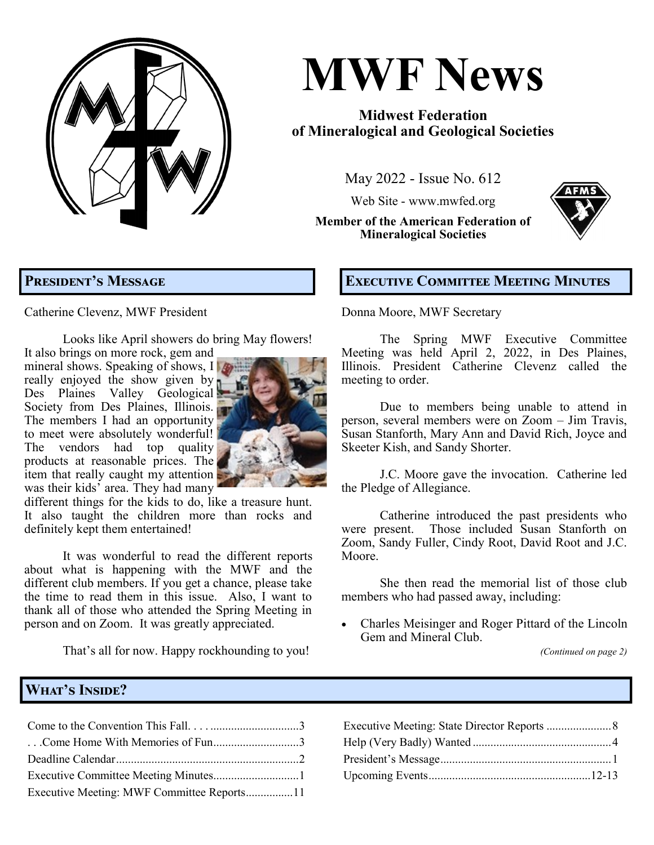**MWF News May 2022, Issue No. 612 Page 1**

# **MWF News**

# **Midwest Federation of Mineralogical and Geological Societies**

May 2022 - Issue No. 612

Web Site - [www.mwfed.org](http://www.amfed.org/mwf)

**Member of the American Federation of Mineralogical Societies**



# **President's Message**

Catherine Clevenz, MWF President

Looks like April showers do bring May flowers! It also brings on more rock, gem and

mineral shows. Speaking of shows,  $\prod_{i=1}^{n}$ really enjoyed the show given by Des Plaines Valley Geological Society from Des Plaines, Illinois. The members I had an opportunity to meet were absolutely wonderful! The vendors had top quality products at reasonable prices. The item that really caught my attention was their kids' area. They had many



different things for the kids to do, like a treasure hunt. It also taught the children more than rocks and definitely kept them entertained!

It was wonderful to read the different reports about what is happening with the MWF and the different club members. If you get a chance, please take the time to read them in this issue. Also, I want to thank all of those who attended the Spring Meeting in person and on Zoom. It was greatly appreciated.

That's all for now. Happy rockhounding to you!

## **Executive Committee Meeting Minutes**

Donna Moore, MWF Secretary

The Spring MWF Executive Committee Meeting was held April 2, 2022, in Des Plaines, Illinois. President Catherine Clevenz called the meeting to order.

Due to members being unable to attend in person, several members were on Zoom – Jim Travis, Susan Stanforth, Mary Ann and David Rich, Joyce and Skeeter Kish, and Sandy Shorter.

J.C. Moore gave the invocation. Catherine led the Pledge of Allegiance.

Catherine introduced the past presidents who were present. Those included Susan Stanforth on Zoom, Sandy Fuller, Cindy Root, David Root and J.C. Moore.

She then read the memorial list of those club members who had passed away, including:

• Charles Meisinger and Roger Pittard of the Lincoln Gem and Mineral Club.

*(Continued on page 2)*

#### **What's Inside?**

| Come Home With Memories of Fun3            |  |
|--------------------------------------------|--|
|                                            |  |
|                                            |  |
| Executive Meeting: MWF Committee Reports11 |  |

| Come Home With Memories of Fun3 |  |
|---------------------------------|--|
|                                 |  |
|                                 |  |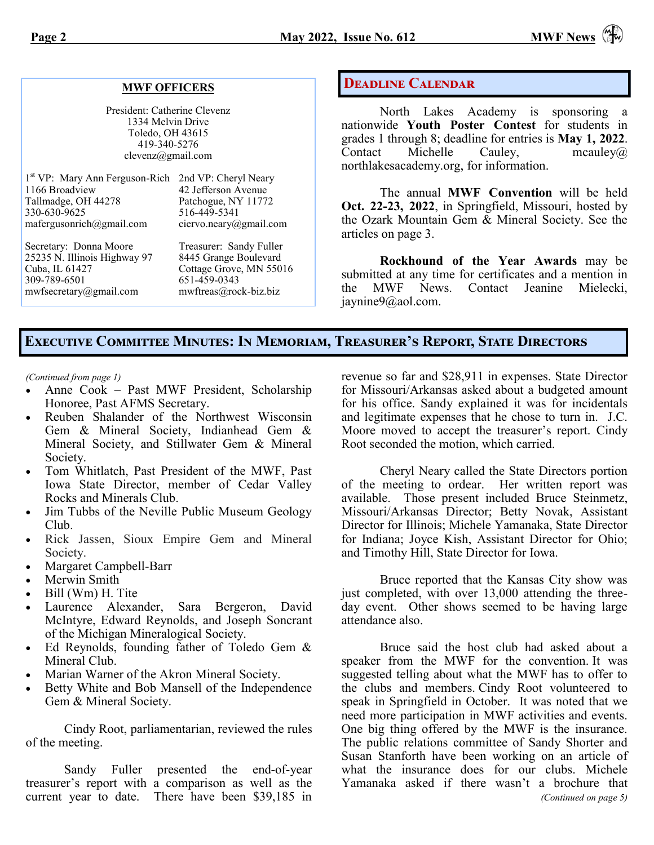#### **MWF OFFICERS**

President: Catherine Clevenz 1334 Melvin Drive Toledo, OH 43615 419-340-5276 clevenz@gmail.com

| 1 <sup>st</sup> VP: Mary Ann Ferguson-Rich 2nd VP: Cheryl Neary<br>1166 Broadview<br>Tallmadge, OH 44278<br>330-630-9625<br>mafergusonrich@gmail.com | 42 Jefferson Avenue<br>Patchogue, NY 11772<br>516-449-5341<br>ciervo.neary@gmail.com | The ar<br>Oct. 22-23, 2<br>the Ozark Mo<br>articles on pag |
|------------------------------------------------------------------------------------------------------------------------------------------------------|--------------------------------------------------------------------------------------|------------------------------------------------------------|
| Secretary: Donna Moore                                                                                                                               | Treasurer: Sandy Fuller                                                              | Rockh                                                      |
| 25235 N. Illinois Highway 97                                                                                                                         | 8445 Grange Boulevard                                                                | submitted at a                                             |
| Cuba, IL 61427                                                                                                                                       | Cottage Grove, MN 55016                                                              | <b>MWF</b>                                                 |
| 309-789-6501                                                                                                                                         | 651-459-0343                                                                         | the                                                        |
| mwfsecretary@gmail.com                                                                                                                               | mwftreas@rock-biz.biz                                                                | $\sim$ $\sim$ $\sim$ $\sim$                                |

#### **Deadline Calendar**

North Lakes Academy is sponsoring a nationwide **Youth Poster Contest** for students in grades 1 through 8; deadline for entries is **May 1, 2022**. Contact Michelle Cauley, [mcauley@](mailto:mcauley@northlakesacademy.org)  [northlakesacademy.org,](mailto:mcauley@northlakesacademy.org) for information.

nual **MWF** Convention will be held **022**, in Springfield, Missouri, hosted by untain Gem  $\&$  Mineral Society. See the  $e$  3.

*Road* of the Year Awards may be ny time for certificates and a mention in News. Contact Jeanine Mielecki, [jaynine9@aol.com.](mailto:jaynine9@aol.com)

#### **Executive Committee Minutes: In Memoriam, Treasurer's Report, State Directors**

*(Continued from page 1)*

- Anne Cook Past MWF President, Scholarship Honoree, Past AFMS Secretary.
- Reuben Shalander of the Northwest Wisconsin Gem & Mineral Society, Indianhead Gem & Mineral Society, and Stillwater Gem & Mineral Society.
- Tom Whitlatch, Past President of the MWF, Past Iowa State Director, member of Cedar Valley Rocks and Minerals Club.
- Jim Tubbs of the Neville Public Museum Geology Club.
- Rick Jassen, Sioux Empire Gem and Mineral Society.
- Margaret Campbell-Barr
- Merwin Smith
- Bill (Wm) H. Tite
- Laurence Alexander, Sara Bergeron, David McIntyre, Edward Reynolds, and Joseph Soncrant of the Michigan Mineralogical Society.
- Ed Reynolds, founding father of Toledo Gem & Mineral Club.
- Marian Warner of the Akron Mineral Society.
- Betty White and Bob Mansell of the Independence Gem & Mineral Society.

Cindy Root, parliamentarian, reviewed the rules of the meeting.

Sandy Fuller presented the end-of-year treasurer's report with a comparison as well as the current year to date. There have been \$39,185 in revenue so far and \$28,911 in expenses. State Director for Missouri/Arkansas asked about a budgeted amount for his office. Sandy explained it was for incidentals and legitimate expenses that he chose to turn in. J.C. Moore moved to accept the treasurer's report. Cindy Root seconded the motion, which carried.

Cheryl Neary called the State Directors portion of the meeting to ordear. Her written report was available. Those present included Bruce Steinmetz, Missouri/Arkansas Director; Betty Novak, Assistant Director for Illinois; Michele Yamanaka, State Director for Indiana; Joyce Kish, Assistant Director for Ohio; and Timothy Hill, State Director for Iowa.

Bruce reported that the Kansas City show was just completed, with over 13,000 attending the threeday event. Other shows seemed to be having large attendance also.

Bruce said the host club had asked about a speaker from the MWF for the convention. It was suggested telling about what the MWF has to offer to the clubs and members. Cindy Root volunteered to speak in Springfield in October. It was noted that we need more participation in MWF activities and events. One big thing offered by the MWF is the insurance. The public relations committee of Sandy Shorter and Susan Stanforth have been working on an article of what the insurance does for our clubs. Michele Yamanaka asked if there wasn't a brochure that *(Continued on page 5)*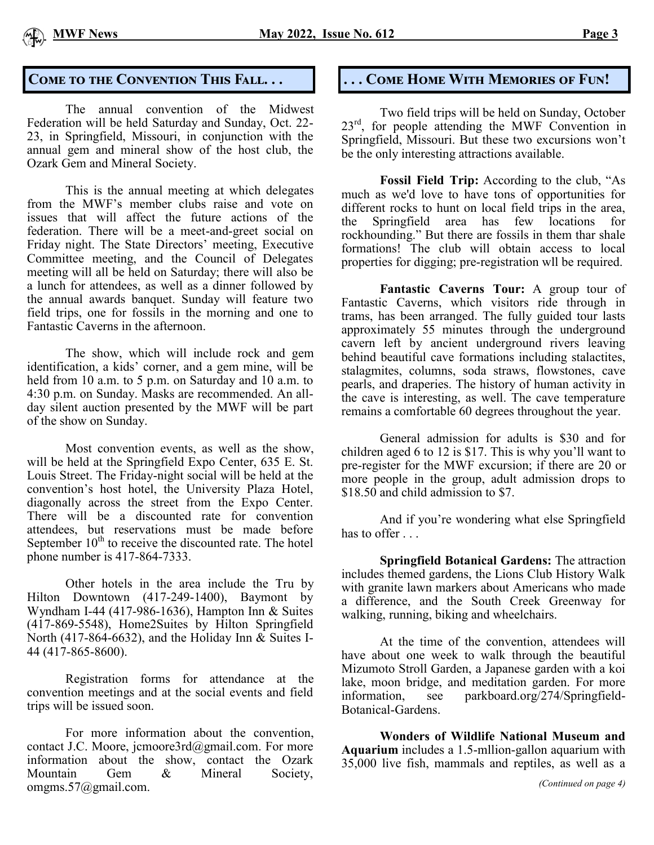

The annual convention of the Midwest Federation will be held Saturday and Sunday, Oct. 22- 23, in Springfield, Missouri, in conjunction with the annual gem and mineral show of the host club, the Ozark Gem and Mineral Society.

This is the annual meeting at which delegates from the MWF's member clubs raise and vote on issues that will affect the future actions of the federation. There will be a meet-and-greet social on Friday night. The State Directors' meeting, Executive Committee meeting, and the Council of Delegates meeting will all be held on Saturday; there will also be a lunch for attendees, as well as a dinner followed by the annual awards banquet. Sunday will feature two field trips, one for fossils in the morning and one to Fantastic Caverns in the afternoon.

The show, which will include rock and gem identification, a kids' corner, and a gem mine, will be held from 10 a.m. to 5 p.m. on Saturday and 10 a.m. to 4:30 p.m. on Sunday. Masks are recommended. An allday silent auction presented by the MWF will be part of the show on Sunday.

Most convention events, as well as the show, will be held at the Springfield Expo Center, 635 E. St. Louis Street. The Friday-night social will be held at the convention's host hotel, the University Plaza Hotel, diagonally across the street from the Expo Center. There will be a discounted rate for convention attendees, but reservations must be made before September  $10<sup>th</sup>$  to receive the discounted rate. The hotel phone number is 417-864-7333.

Other hotels in the area include the Tru by Hilton Downtown (417-249-1400), Baymont by Wyndham I-44 (417-986-1636), Hampton Inn & Suites (417-869-5548), Home2Suites by Hilton Springfield North (417-864-6632), and the Holiday Inn & Suites I-44 (417-865-8600).

Registration forms for attendance at the convention meetings and at the social events and field trips will be issued soon.

For more information about the convention, contact J.C. Moore, [jcmoore3rd@gmail.com.](mailto:jcmoore3rd@gmail.com) For more information about the show, contact the Ozark Mountain Gem & Mineral Society, omgms.57@gmail.com.

# **Come to the Convention This Fall. . . . . . Come Home With Memories of Fun!**

Two field trips will be held on Sunday, October  $23<sup>rd</sup>$ , for people attending the MWF Convention in Springfield, Missouri. But these two excursions won't be the only interesting attractions available.

**Fossil Field Trip:** According to the club, "As much as we'd love to have tons of opportunities for different rocks to hunt on local field trips in the area, the Springfield area has few locations for rockhounding." But there are fossils in them thar shale formations! The club will obtain access to local properties for digging; pre-registration wll be required.

**Fantastic Caverns Tour:** A group tour of Fantastic Caverns, which visitors ride through in trams, has been arranged. The fully guided tour lasts approximately 55 minutes through the underground cavern left by ancient underground rivers leaving behind beautiful cave formations including stalactites, stalagmites, columns, soda straws, flowstones, cave pearls, and draperies. The history of human activity in the cave is interesting, as well. The cave temperature remains a comfortable 60 degrees throughout the year.

General admission for adults is \$30 and for children aged 6 to 12 is \$17. This is why you'll want to pre-register for the MWF excursion; if there are 20 or more people in the group, adult admission drops to \$18.50 and child admission to \$7.

And if you're wondering what else Springfield has to offer . . .

**Springfield Botanical Gardens:** The attraction includes themed gardens, the Lions Club History Walk with granite lawn markers about Americans who made a difference, and the South Creek Greenway for walking, running, biking and wheelchairs.

At the time of the convention, attendees will have about one week to walk through the beautiful Mizumoto Stroll Garden, a Japanese garden with a koi lake, moon bridge, and meditation garden. For more information, see parkboard.org/274/Springfield-Botanical-Gardens.

**Wonders of Wildlife National Museum and Aquarium** includes a 1.5-mllion-gallon aquarium with 35,000 live fish, mammals and reptiles, as well as a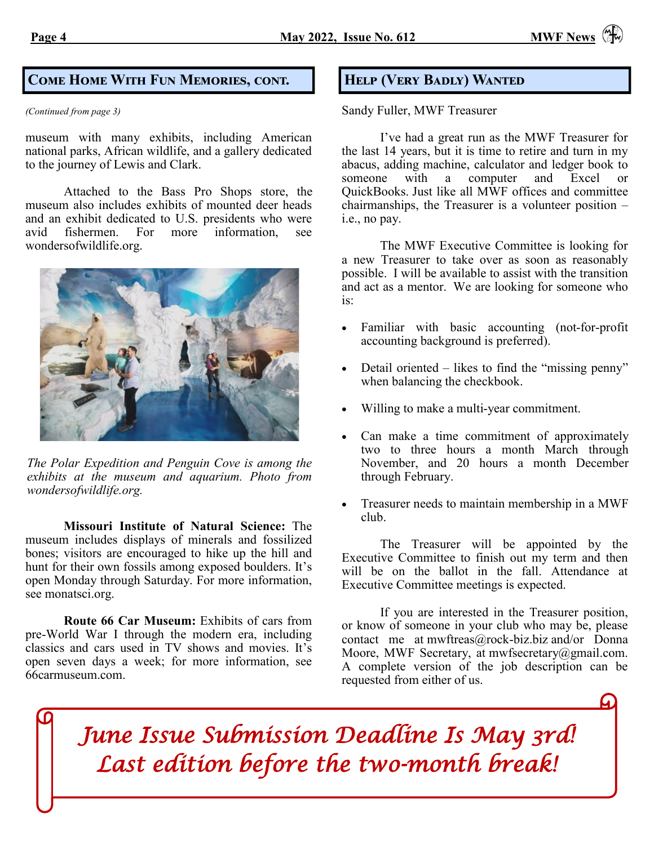#### **Come Home With Fun Memories, cont.**

*(Continued from page 3)*

museum with many exhibits, including American national parks, African wildlife, and a gallery dedicated to the journey of Lewis and Clark.

Attached to the Bass Pro Shops store, the museum also includes exhibits of mounted deer heads and an exhibit dedicated to U.S. presidents who were avid fishermen. For more information, see wondersofwildlife.org.



*The Polar Expedition and Penguin Cove is among the exhibits at the museum and aquarium. Photo from wondersofwildlife.org.*

**Missouri Institute of Natural Science:** The museum includes displays of minerals and fossilized bones; visitors are encouraged to hike up the hill and hunt for their own fossils among exposed boulders. It's open Monday through Saturday. For more information, see monatsci.org.

**Route 66 Car Museum:** Exhibits of cars from pre-World War I through the modern era, including classics and cars used in TV shows and movies. It's open seven days a week; for more information, see 66carmuseum.com.

#### **Help (Very Badly) Wanted**

Sandy Fuller, MWF Treasurer

I've had a great run as the MWF Treasurer for the last 14 years, but it is time to retire and turn in my abacus, adding machine, calculator and ledger book to someone with a computer and Excel or QuickBooks. Just like all MWF offices and committee chairmanships, the Treasurer is a volunteer position – i.e., no pay.

The MWF Executive Committee is looking for a new Treasurer to take over as soon as reasonably possible. I will be available to assist with the transition and act as a mentor. We are looking for someone who is:

- Familiar with basic accounting (not-for-profit accounting background is preferred).
- Detail oriented likes to find the "missing penny" when balancing the checkbook.
- Willing to make a multi-year commitment.
- Can make a time commitment of approximately two to three hours a month March through November, and 20 hours a month December through February.
- Treasurer needs to maintain membership in a MWF club.

The Treasurer will be appointed by the Executive Committee to finish out my term and then will be on the ballot in the fall. Attendance at Executive Committee meetings is expected.

If you are interested in the Treasurer position, or know of someone in your club who may be, please contact me at mwftreas@rock-biz.biz and/or Donna Moore, MWF Secretary, at mwfsecretary@gmail.com. A complete version of the job description can be requested from either of us.

*June Issue Submission Deadline Is May 3rd! Last edition before the two-month break!*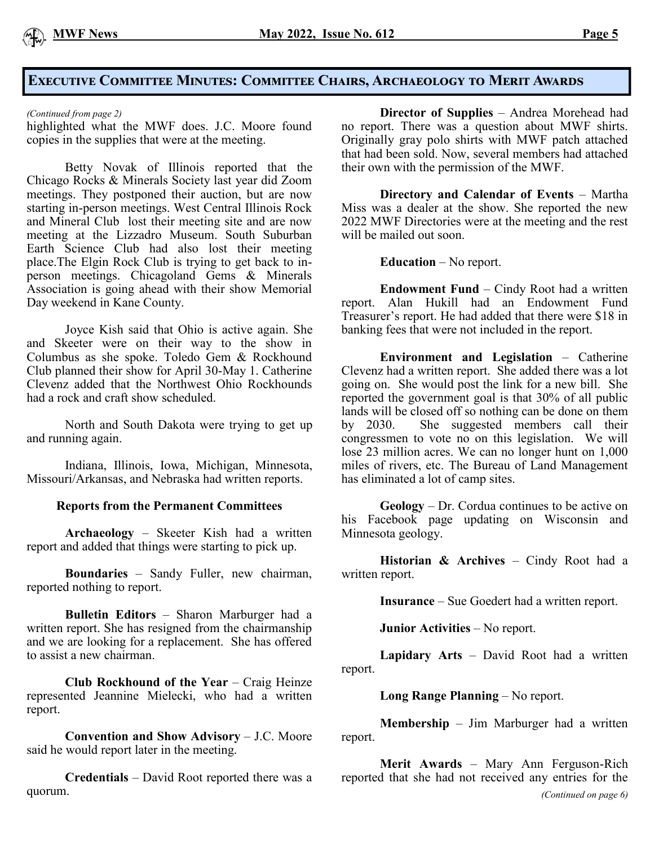

#### **Executive Committee Minutes: Committee Chairs, Archaeology to Merit Awards**

*(Continued from page 2)*

highlighted what the MWF does. J.C. Moore found copies in the supplies that were at the meeting.

Betty Novak of Illinois reported that the Chicago Rocks & Minerals Society last year did Zoom meetings. They postponed their auction, but are now starting in-person meetings. West Central Illinois Rock and Mineral Club lost their meeting site and are now meeting at the Lizzadro Museum. South Suburban Earth Science Club had also lost their meeting place.The Elgin Rock Club is trying to get back to inperson meetings. Chicagoland Gems & Minerals Association is going ahead with their show Memorial Day weekend in Kane County.

Joyce Kish said that Ohio is active again. She and Skeeter were on their way to the show in Columbus as she spoke. Toledo Gem & Rockhound Club planned their show for April 30-May 1. Catherine Clevenz added that the Northwest Ohio Rockhounds had a rock and craft show scheduled.

North and South Dakota were trying to get up and running again.

Indiana, Illinois, Iowa, Michigan, Minnesota, Missouri/Arkansas, and Nebraska had written reports.

#### **Reports from the Permanent Committees**

**Archaeology** – Skeeter Kish had a written report and added that things were starting to pick up.

**Boundaries** – Sandy Fuller, new chairman, reported nothing to report.

**Bulletin Editors** – Sharon Marburger had a written report. She has resigned from the chairmanship and we are looking for a replacement. She has offered to assist a new chairman.

**Club Rockhound of the Year** – Craig Heinze represented Jeannine Mielecki, who had a written report.

**Convention and Show Advisory** – J.C. Moore said he would report later in the meeting.

**Credentials** – David Root reported there was a quorum.

**Director of Supplies** – Andrea Morehead had no report. There was a question about MWF shirts. Originally gray polo shirts with MWF patch attached that had been sold. Now, several members had attached their own with the permission of the MWF.

**Directory and Calendar of Events** – Martha Miss was a dealer at the show. She reported the new 2022 MWF Directories were at the meeting and the rest will be mailed out soon.

**Education** – No report.

**Endowment Fund** – Cindy Root had a written report. Alan Hukill had an Endowment Fund Treasurer's report. He had added that there were \$18 in banking fees that were not included in the report.

**Environment and Legislation** – Catherine Clevenz had a written report. She added there was a lot going on. She would post the link for a new bill. She reported the government goal is that 30% of all public lands will be closed off so nothing can be done on them by 2030. She suggested members call their congressmen to vote no on this legislation. We will lose 23 million acres. We can no longer hunt on 1,000 miles of rivers, etc. The Bureau of Land Management has eliminated a lot of camp sites.

**Geology** – Dr. Cordua continues to be active on his Facebook page updating on Wisconsin and Minnesota geology.

**Historian & Archives** – Cindy Root had a written report.

**Insurance** – Sue Goedert had a written report.

**Junior Activities** – No report.

**Lapidary Arts** – David Root had a written report.

**Long Range Planning** – No report.

**Membership** – Jim Marburger had a written report.

**Merit Awards** – Mary Ann Ferguson-Rich reported that she had not received any entries for the *(Continued on page 6)*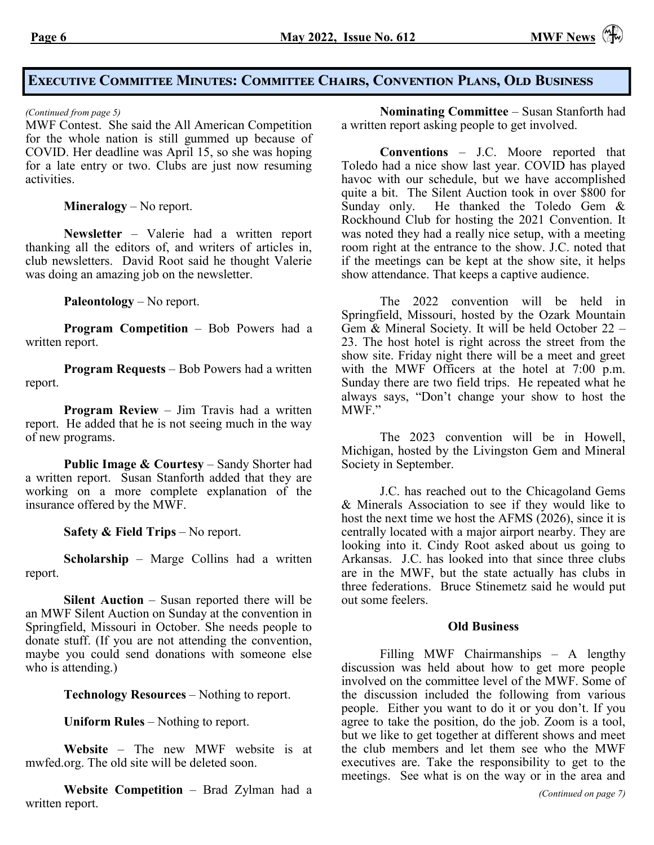## **Executive Committee Minutes: Committee Chairs, Convention Plans, Old Business**

MWF Contest. She said the All American Competition for the whole nation is still gummed up because of COVID. Her deadline was April 15, so she was hoping for a late entry or two. Clubs are just now resuming activities.

**Mineralogy** – No report.

**Newsletter** – Valerie had a written report thanking all the editors of, and writers of articles in, club newsletters. David Root said he thought Valerie was doing an amazing job on the newsletter.

**Paleontology** – No report.

**Program Competition** – Bob Powers had a written report.

**Program Requests** – Bob Powers had a written report.

**Program Review** – Jim Travis had a written report. He added that he is not seeing much in the way of new programs.

**Public Image & Courtesy** – Sandy Shorter had a written report. Susan Stanforth added that they are working on a more complete explanation of the insurance offered by the MWF.

**Safety & Field Trips** – No report.

**Scholarship** – Marge Collins had a written report.

**Silent Auction** – Susan reported there will be an MWF Silent Auction on Sunday at the convention in Springfield, Missouri in October. She needs people to donate stuff. (If you are not attending the convention, maybe you could send donations with someone else who is attending.)

**Technology Resources** – Nothing to report.

**Uniform Rules** – Nothing to report.

**Website** – The new MWF website is at mwfed.org. The old site will be deleted soon.

**Website Competition** – Brad Zylman had a written report.

*(Continued from page 5)* **Nominating Committee** – Susan Stanforth had a written report asking people to get involved.

> **Conventions** – J.C. Moore reported that Toledo had a nice show last year. COVID has played havoc with our schedule, but we have accomplished quite a bit. The Silent Auction took in over \$800 for Sunday only. He thanked the Toledo Gem  $\&$ Rockhound Club for hosting the 2021 Convention. It was noted they had a really nice setup, with a meeting room right at the entrance to the show. J.C. noted that if the meetings can be kept at the show site, it helps show attendance. That keeps a captive audience.

> The 2022 convention will be held in Springfield, Missouri, hosted by the Ozark Mountain Gem & Mineral Society. It will be held October 22 – 23. The host hotel is right across the street from the show site. Friday night there will be a meet and greet with the MWF Officers at the hotel at 7:00 p.m. Sunday there are two field trips. He repeated what he always says, "Don't change your show to host the MWF."

> The 2023 convention will be in Howell, Michigan, hosted by the Livingston Gem and Mineral Society in September.

> J.C. has reached out to the Chicagoland Gems & Minerals Association to see if they would like to host the next time we host the AFMS (2026), since it is centrally located with a major airport nearby. They are looking into it. Cindy Root asked about us going to Arkansas. J.C. has looked into that since three clubs are in the MWF, but the state actually has clubs in three federations. Bruce Stinemetz said he would put out some feelers.

#### **Old Business**

Filling MWF Chairmanships – A lengthy discussion was held about how to get more people involved on the committee level of the MWF. Some of the discussion included the following from various people. Either you want to do it or you don't. If you agree to take the position, do the job. Zoom is a tool, but we like to get together at different shows and meet the club members and let them see who the MWF executives are. Take the responsibility to get to the meetings. See what is on the way or in the area and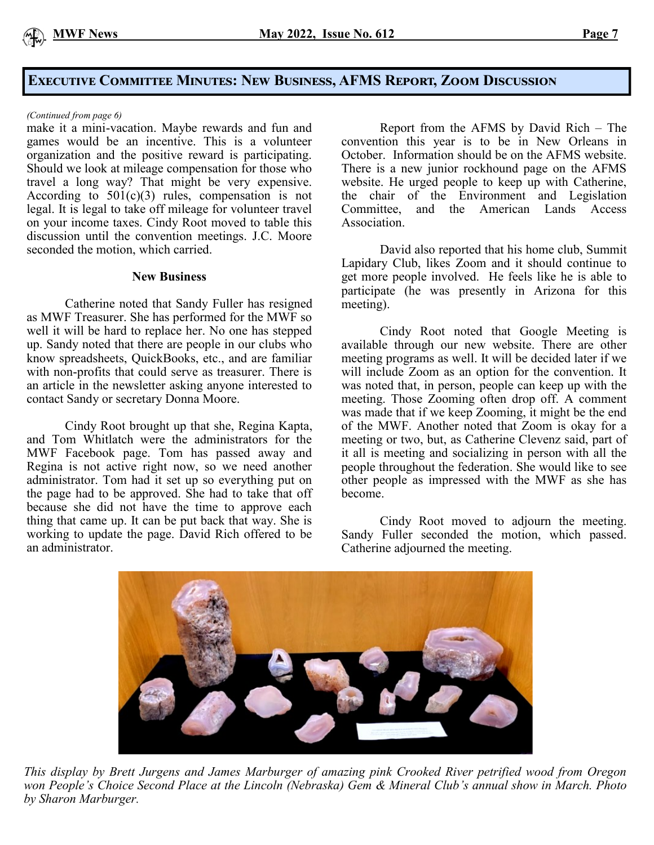

## **Executive Committee Minutes: New Business, AFMS Report, Zoom Discussion**

#### *(Continued from page 6)*

make it a mini-vacation. Maybe rewards and fun and games would be an incentive. This is a volunteer organization and the positive reward is participating. Should we look at mileage compensation for those who travel a long way? That might be very expensive. According to  $501(c)(3)$  rules, compensation is not legal. It is legal to take off mileage for volunteer travel on your income taxes. Cindy Root moved to table this discussion until the convention meetings. J.C. Moore seconded the motion, which carried.

#### **New Business**

Catherine noted that Sandy Fuller has resigned as MWF Treasurer. She has performed for the MWF so well it will be hard to replace her. No one has stepped up. Sandy noted that there are people in our clubs who know spreadsheets, QuickBooks, etc., and are familiar with non-profits that could serve as treasurer. There is an article in the newsletter asking anyone interested to contact Sandy or secretary Donna Moore.

Cindy Root brought up that she, Regina Kapta, and Tom Whitlatch were the administrators for the MWF Facebook page. Tom has passed away and Regina is not active right now, so we need another administrator. Tom had it set up so everything put on the page had to be approved. She had to take that off because she did not have the time to approve each thing that came up. It can be put back that way. She is working to update the page. David Rich offered to be an administrator.

Report from the AFMS by David Rich – The convention this year is to be in New Orleans in October. Information should be on the AFMS website. There is a new junior rockhound page on the AFMS website. He urged people to keep up with Catherine, the chair of the Environment and Legislation<br>Committee, and the American Lands Access and the American Lands Access Association.

David also reported that his home club, Summit Lapidary Club, likes Zoom and it should continue to get more people involved. He feels like he is able to participate (he was presently in Arizona for this meeting).

Cindy Root noted that Google Meeting is available through our new website. There are other meeting programs as well. It will be decided later if we will include Zoom as an option for the convention. It was noted that, in person, people can keep up with the meeting. Those Zooming often drop off. A comment was made that if we keep Zooming, it might be the end of the MWF. Another noted that Zoom is okay for a meeting or two, but, as Catherine Clevenz said, part of it all is meeting and socializing in person with all the people throughout the federation. She would like to see other people as impressed with the MWF as she has become.

Cindy Root moved to adjourn the meeting. Sandy Fuller seconded the motion, which passed. Catherine adjourned the meeting.



*This display by Brett Jurgens and James Marburger of amazing pink Crooked River petrified wood from Oregon won People's Choice Second Place at the Lincoln (Nebraska) Gem & Mineral Club's annual show in March. Photo by Sharon Marburger.*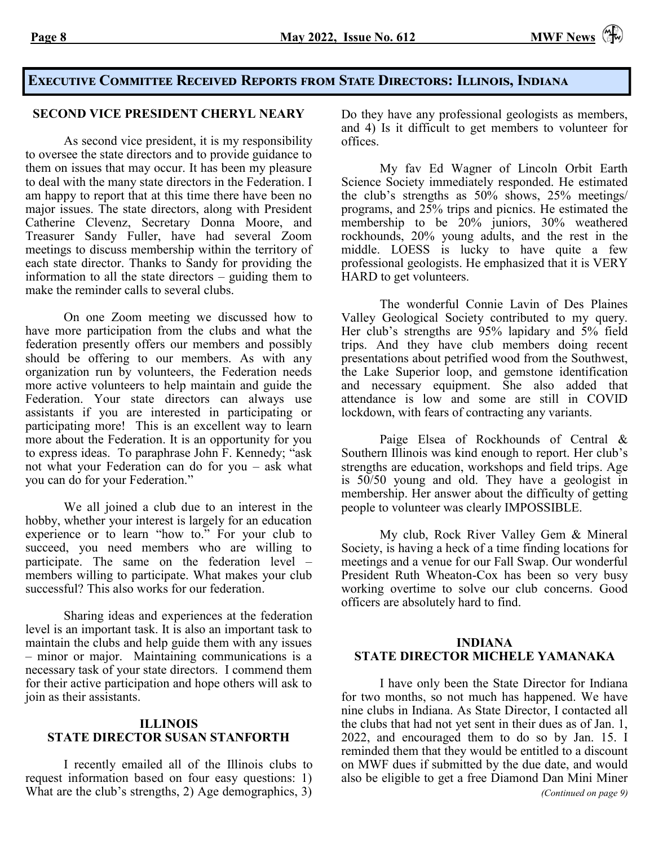#### **Executive Committee Received Reports from State Directors: Illinois, Indiana**

#### **SECOND VICE PRESIDENT CHERYL NEARY**

As second vice president, it is my responsibility to oversee the state directors and to provide guidance to them on issues that may occur. It has been my pleasure to deal with the many state directors in the Federation. I am happy to report that at this time there have been no major issues. The state directors, along with President Catherine Clevenz, Secretary Donna Moore, and Treasurer Sandy Fuller, have had several Zoom meetings to discuss membership within the territory of each state director. Thanks to Sandy for providing the information to all the state directors – guiding them to make the reminder calls to several clubs.

On one Zoom meeting we discussed how to have more participation from the clubs and what the federation presently offers our members and possibly should be offering to our members. As with any organization run by volunteers, the Federation needs more active volunteers to help maintain and guide the Federation. Your state directors can always use assistants if you are interested in participating or participating more! This is an excellent way to learn more about the Federation. It is an opportunity for you to express ideas. To paraphrase John F. Kennedy; "ask not what your Federation can do for you – ask what you can do for your Federation."

We all joined a club due to an interest in the hobby, whether your interest is largely for an education experience or to learn "how to." For your club to succeed, you need members who are willing to participate. The same on the federation level – members willing to participate. What makes your club successful? This also works for our federation.

Sharing ideas and experiences at the federation level is an important task. It is also an important task to maintain the clubs and help guide them with any issues – minor or major. Maintaining communications is a necessary task of your state directors. I commend them for their active participation and hope others will ask to join as their assistants.

#### **ILLINOIS STATE DIRECTOR SUSAN STANFORTH**

I recently emailed all of the Illinois clubs to request information based on four easy questions: 1) What are the club's strengths, 2) Age demographics, 3) Do they have any professional geologists as members, and 4) Is it difficult to get members to volunteer for offices.

My fav Ed Wagner of Lincoln Orbit Earth Science Society immediately responded. He estimated the club's strengths as 50% shows, 25% meetings/ programs, and 25% trips and picnics. He estimated the membership to be 20% juniors, 30% weathered rockhounds, 20% young adults, and the rest in the middle. LOESS is lucky to have quite a few professional geologists. He emphasized that it is VERY HARD to get volunteers.

The wonderful Connie Lavin of Des Plaines Valley Geological Society contributed to my query. Her club's strengths are 95% lapidary and 5% field trips. And they have club members doing recent presentations about petrified wood from the Southwest, the Lake Superior loop, and gemstone identification and necessary equipment. She also added that attendance is low and some are still in COVID lockdown, with fears of contracting any variants.

Paige Elsea of Rockhounds of Central & Southern Illinois was kind enough to report. Her club's strengths are education, workshops and field trips. Age is 50/50 young and old. They have a geologist in membership. Her answer about the difficulty of getting people to volunteer was clearly IMPOSSIBLE.

My club, Rock River Valley Gem & Mineral Society, is having a heck of a time finding locations for meetings and a venue for our Fall Swap. Our wonderful President Ruth Wheaton-Cox has been so very busy working overtime to solve our club concerns. Good officers are absolutely hard to find.

#### **INDIANA STATE DIRECTOR MICHELE YAMANAKA**

I have only been the State Director for Indiana for two months, so not much has happened. We have nine clubs in Indiana. As State Director, I contacted all the clubs that had not yet sent in their dues as of Jan. 1, 2022, and encouraged them to do so by Jan. 15. I reminded them that they would be entitled to a discount on MWF dues if submitted by the due date, and would also be eligible to get a free Diamond Dan Mini Miner *(Continued on page 9)*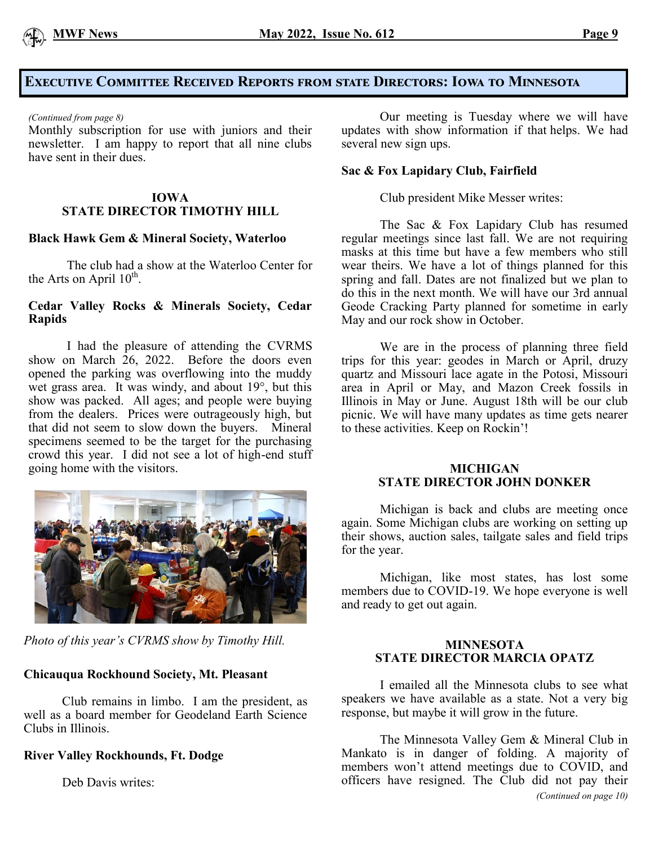

#### **Executive Committee Received Reports from state Directors: Iowa to Minnesota**

#### *(Continued from page 8)*

Monthly subscription for use with juniors and their newsletter. I am happy to report that all nine clubs have sent in their dues.

#### **IOWA STATE DIRECTOR TIMOTHY HILL**

#### **Black Hawk Gem & Mineral Society, Waterloo**

The club had a show at the Waterloo Center for the Arts on April  $10^{\text{th}}$ .

#### **Cedar Valley Rocks & Minerals Society, Cedar Rapids**

I had the pleasure of attending the CVRMS show on March 26, 2022. Before the doors even opened the parking was overflowing into the muddy wet grass area. It was windy, and about 19°, but this show was packed. All ages; and people were buying from the dealers. Prices were outrageously high, but that did not seem to slow down the buyers. Mineral specimens seemed to be the target for the purchasing crowd this year. I did not see a lot of high-end stuff going home with the visitors.



*Photo of this year's CVRMS show by Timothy Hill.*

#### **Chicauqua Rockhound Society, Mt. Pleasant**

Club remains in limbo. I am the president, as well as a board member for Geodeland Earth Science Clubs in Illinois.

#### **River Valley Rockhounds, Ft. Dodge**

Deb Davis writes:

Our meeting is Tuesday where we will have updates with show information if that helps. We had several new sign ups.

#### **Sac & Fox Lapidary Club, Fairfield**

Club president Mike Messer writes:

The Sac & Fox Lapidary Club has resumed regular meetings since last fall. We are not requiring masks at this time but have a few members who still wear theirs. We have a lot of things planned for this spring and fall. Dates are not finalized but we plan to do this in the next month. We will have our 3rd annual Geode Cracking Party planned for sometime in early May and our rock show in October.

We are in the process of planning three field trips for this year: geodes in March or April, druzy quartz and Missouri lace agate in the Potosi, Missouri area in April or May, and Mazon Creek fossils in Illinois in May or June. August 18th will be our club picnic. We will have many updates as time gets nearer to these activities. Keep on Rockin'!

#### **MICHIGAN STATE DIRECTOR JOHN DONKER**

Michigan is back and clubs are meeting once again. Some Michigan clubs are working on setting up their shows, auction sales, tailgate sales and field trips for the year.

Michigan, like most states, has lost some members due to COVID-19. We hope everyone is well and ready to get out again.

#### **MINNESOTA STATE DIRECTOR MARCIA OPATZ**

I emailed all the Minnesota clubs to see what speakers we have available as a state. Not a very big response, but maybe it will grow in the future.

The Minnesota Valley Gem & Mineral Club in Mankato is in danger of folding. A majority of members won't attend meetings due to COVID, and officers have resigned. The Club did not pay their *(Continued on page 10)*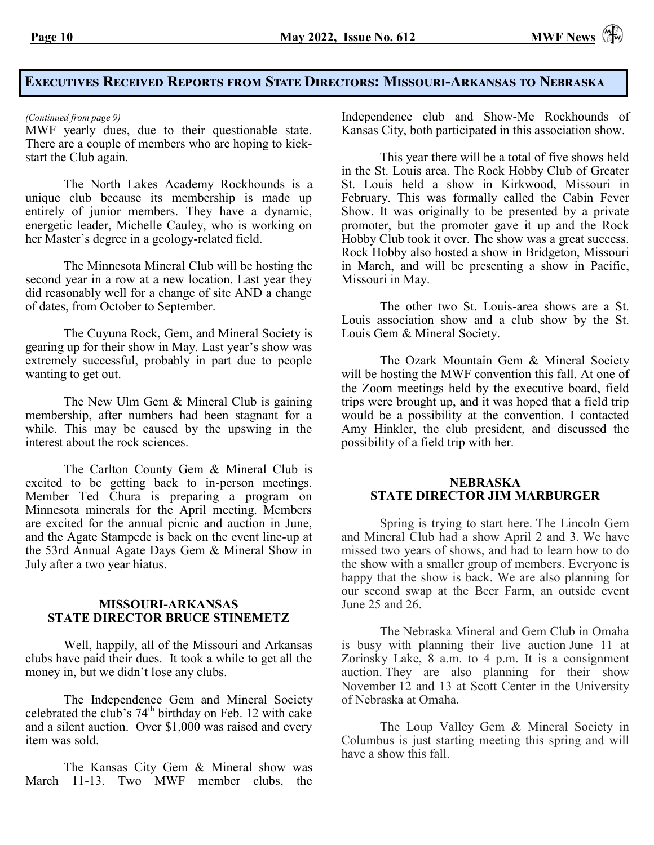# **Executives Received Reports from State Directors: Missouri-Arkansas to Nebraska**

MWF yearly dues, due to their questionable state. There are a couple of members who are hoping to kickstart the Club again.

The North Lakes Academy Rockhounds is a unique club because its membership is made up entirely of junior members. They have a dynamic, energetic leader, Michelle Cauley, who is working on her Master's degree in a geology-related field.

The Minnesota Mineral Club will be hosting the second year in a row at a new location. Last year they did reasonably well for a change of site AND a change of dates, from October to September.

The Cuyuna Rock, Gem, and Mineral Society is gearing up for their show in May. Last year's show was extremely successful, probably in part due to people wanting to get out.

The New Ulm Gem & Mineral Club is gaining membership, after numbers had been stagnant for a while. This may be caused by the upswing in the interest about the rock sciences.

The Carlton County Gem & Mineral Club is excited to be getting back to in-person meetings. Member Ted Chura is preparing a program on Minnesota minerals for the April meeting. Members are excited for the annual picnic and auction in June, and the Agate Stampede is back on the event line-up at the 53rd Annual Agate Days Gem & Mineral Show in July after a two year hiatus.

#### **MISSOURI-ARKANSAS STATE DIRECTOR BRUCE STINEMETZ**

Well, happily, all of the Missouri and Arkansas clubs have paid their dues. It took a while to get all the money in, but we didn't lose any clubs.

The Independence Gem and Mineral Society celebrated the club's 74<sup>th</sup> birthday on Feb. 12 with cake and a silent auction. Over \$1,000 was raised and every item was sold.

The Kansas City Gem & Mineral show was March 11-13. Two MWF member clubs, the

*(Continued from page 9)* Independence club and Show-Me Rockhounds of Kansas City, both participated in this association show.

> This year there will be a total of five shows held in the St. Louis area. The Rock Hobby Club of Greater St. Louis held a show in Kirkwood, Missouri in February. This was formally called the Cabin Fever Show. It was originally to be presented by a private promoter, but the promoter gave it up and the Rock Hobby Club took it over. The show was a great success. Rock Hobby also hosted a show in Bridgeton, Missouri in March, and will be presenting a show in Pacific, Missouri in May.

> The other two St. Louis-area shows are a St. Louis association show and a club show by the St. Louis Gem & Mineral Society.

> The Ozark Mountain Gem & Mineral Society will be hosting the MWF convention this fall. At one of the Zoom meetings held by the executive board, field trips were brought up, and it was hoped that a field trip would be a possibility at the convention. I contacted Amy Hinkler, the club president, and discussed the possibility of a field trip with her.

#### **NEBRASKA STATE DIRECTOR JIM MARBURGER**

Spring is trying to start here. The Lincoln Gem and Mineral Club had a show April 2 and 3. We have missed two years of shows, and had to learn how to do the show with a smaller group of members. Everyone is happy that the show is back. We are also planning for our second swap at the Beer Farm, an outside event June 25 and 26.

The Nebraska Mineral and Gem Club in Omaha is busy with planning their live auction June 11 at Zorinsky Lake, 8 a.m. to 4 p.m. It is a consignment auction. They are also planning for their show November 12 and 13 at Scott Center in the University of Nebraska at Omaha.

The Loup Valley Gem & Mineral Society in Columbus is just starting meeting this spring and will have a show this fall.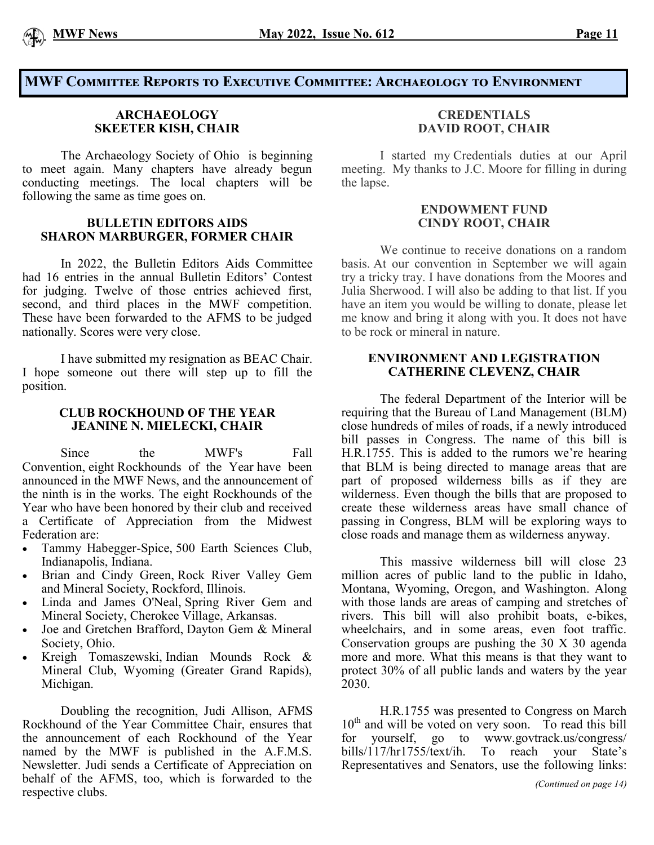

#### **MWF Committee Reports to Executive Committee: Archaeology to Environment**

#### **ARCHAEOLOGY SKEETER KISH, CHAIR**

The Archaeology Society of Ohio is beginning to meet again. Many chapters have already begun conducting meetings. The local chapters will be following the same as time goes on.

#### **BULLETIN EDITORS AIDS SHARON MARBURGER, FORMER CHAIR**

In 2022, the Bulletin Editors Aids Committee had 16 entries in the annual Bulletin Editors' Contest for judging. Twelve of those entries achieved first, second, and third places in the MWF competition. These have been forwarded to the AFMS to be judged nationally. Scores were very close.

I have submitted my resignation as BEAC Chair. I hope someone out there will step up to fill the position.

#### **CLUB ROCKHOUND OF THE YEAR JEANINE N. MIELECKI, CHAIR**

Since the MWF's Fall Convention, eight Rockhounds of the Year have been announced in the MWF News, and the announcement of the ninth is in the works. The eight Rockhounds of the Year who have been honored by their club and received a Certificate of Appreciation from the Midwest Federation are:

- Tammy Habegger-Spice, 500 Earth Sciences Club, Indianapolis, Indiana.
- Brian and Cindy Green, Rock River Valley Gem and Mineral Society, Rockford, Illinois.
- Linda and James O'Neal, Spring River Gem and Mineral Society, Cherokee Village, Arkansas.
- Joe and Gretchen Brafford, Dayton Gem & Mineral Society, Ohio.
- Kreigh Tomaszewski, Indian Mounds Rock & Mineral Club, Wyoming (Greater Grand Rapids), Michigan.

Doubling the recognition, Judi Allison, AFMS Rockhound of the Year Committee Chair, ensures that the announcement of each Rockhound of the Year named by the MWF is published in the A.F.M.S. Newsletter. Judi sends a Certificate of Appreciation on behalf of the AFMS, too, which is forwarded to the respective clubs.

#### **CREDENTIALS DAVID ROOT, CHAIR**

I started my Credentials duties at our April meeting. My thanks to J.C. Moore for filling in during the lapse.

#### **ENDOWMENT FUND CINDY ROOT, CHAIR**

We continue to receive donations on a random basis. At our convention in September we will again try a tricky tray. I have donations from the Moores and Julia Sherwood. I will also be adding to that list. If you have an item you would be willing to donate, please let me know and bring it along with you. It does not have to be rock or mineral in nature.

#### **ENVIRONMENT AND LEGISTRATION CATHERINE CLEVENZ, CHAIR**

The federal Department of the Interior will be requiring that the Bureau of Land Management (BLM) close hundreds of miles of roads, if a newly introduced bill passes in Congress. The name of this bill is H.R.1755. This is added to the rumors we're hearing that BLM is being directed to manage areas that are part of proposed wilderness bills as if they are wilderness. Even though the bills that are proposed to create these wilderness areas have small chance of passing in Congress, BLM will be exploring ways to close roads and manage them as wilderness anyway.

This massive wilderness bill will close 23 million acres of public land to the public in Idaho, Montana, Wyoming, Oregon, and Washington. Along with those lands are areas of camping and stretches of rivers. This bill will also prohibit boats, e-bikes, wheelchairs, and in some areas, even foot traffic. Conservation groups are pushing the 30 X 30 agenda more and more. What this means is that they want to protect 30% of all public lands and waters by the year 2030.

H.R.1755 was presented to Congress on March  $10<sup>th</sup>$  and will be voted on very soon. To read this bill for yourself, go to [www.govtrack.us/congress/](http://www.govtrack.us/congress/bills/117/hr1755/text/ih)<br>bills/117/hr1755/text/ih. To reach your State's [bills/117/hr1755/text/ih.](http://www.govtrack.us/congress/bills/117/hr1755/text/ih) To reach your State's Representatives and Senators, use the following links: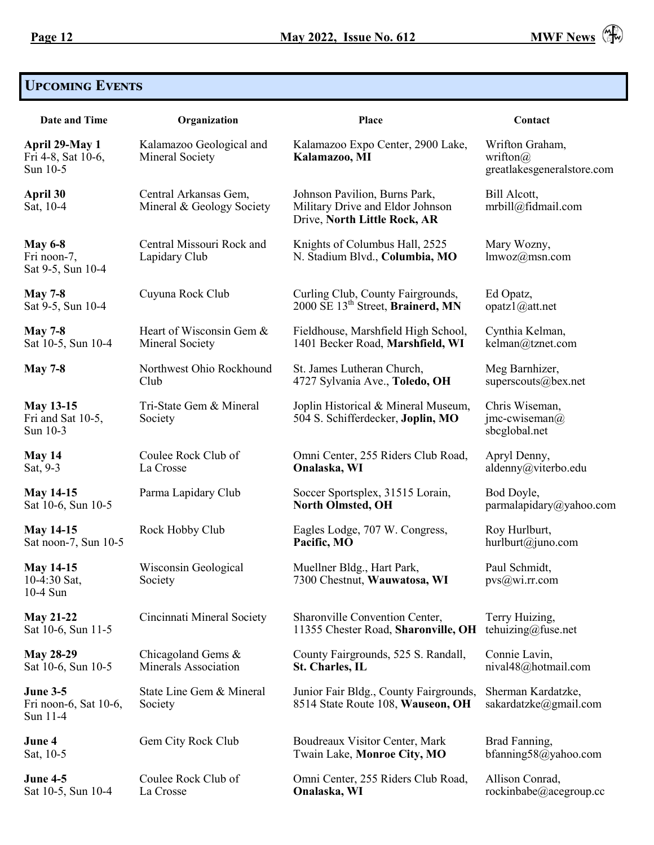

# **Upcoming Events**

| <b>Date and Time</b>                                 | Organization                                       | <b>Place</b>                                                                                      | Contact                                                           |
|------------------------------------------------------|----------------------------------------------------|---------------------------------------------------------------------------------------------------|-------------------------------------------------------------------|
| April 29-May 1<br>Fri 4-8, Sat 10-6,<br>Sun 10-5     | Kalamazoo Geological and<br>Mineral Society        | Kalamazoo Expo Center, 2900 Lake,<br>Kalamazoo, MI                                                | Wrifton Graham,<br>wrifton $\omega$<br>greatlakesgeneralstore.com |
| April 30<br>Sat, 10-4                                | Central Arkansas Gem,<br>Mineral & Geology Society | Johnson Pavilion, Burns Park,<br>Military Drive and Eldor Johnson<br>Drive, North Little Rock, AR | Bill Alcott,<br>mrbill@fidmail.com                                |
| <b>May 6-8</b><br>Fri noon-7,<br>Sat 9-5, Sun 10-4   | Central Missouri Rock and<br>Lapidary Club         | Knights of Columbus Hall, 2525<br>N. Stadium Blvd., Columbia, MO                                  | Mary Wozny,<br>lmwoz@msn.com                                      |
| <b>May 7-8</b>                                       | Cuyuna Rock Club                                   | Curling Club, County Fairgrounds,                                                                 | Ed Opatz,                                                         |
| Sat 9-5, Sun 10-4                                    |                                                    | 2000 SE 13th Street, Brainerd, MN                                                                 | opatz1@att.net                                                    |
| <b>May 7-8</b>                                       | Heart of Wisconsin Gem &                           | Fieldhouse, Marshfield High School,                                                               | Cynthia Kelman,                                                   |
| Sat 10-5, Sun 10-4                                   | Mineral Society                                    | 1401 Becker Road, Marshfield, WI                                                                  | kelman@tznet.com                                                  |
| <b>May 7-8</b>                                       | Northwest Ohio Rockhound                           | St. James Lutheran Church,                                                                        | Meg Barnhizer,                                                    |
|                                                      | Club                                               | 4727 Sylvania Ave., Toledo, OH                                                                    | superscouts@bex.net                                               |
| <b>May 13-15</b><br>Fri and Sat 10-5,<br>Sun 10-3    | Tri-State Gem & Mineral<br>Society                 | Joplin Historical & Mineral Museum,<br>504 S. Schifferdecker, Joplin, MO                          | Chris Wiseman,<br>$jmc$ -cwiseman $(a)$<br>sbcglobal.net          |
| May 14                                               | Coulee Rock Club of                                | Omni Center, 255 Riders Club Road,                                                                | Apryl Denny,                                                      |
| Sat, 9-3                                             | La Crosse                                          | Onalaska, WI                                                                                      | aldenny@viterbo.edu                                               |
| <b>May 14-15</b>                                     | Parma Lapidary Club                                | Soccer Sportsplex, 31515 Lorain,                                                                  | Bod Doyle,                                                        |
| Sat 10-6, Sun 10-5                                   |                                                    | <b>North Olmsted, OH</b>                                                                          | parmalapidary@yahoo.com                                           |
| <b>May 14-15</b>                                     | Rock Hobby Club                                    | Eagles Lodge, 707 W. Congress,                                                                    | Roy Hurlburt,                                                     |
| Sat noon-7, Sun 10-5                                 |                                                    | Pacific, MO                                                                                       | hurlburt@juno.com                                                 |
| <b>May 14-15</b><br>10-4:30 Sat,<br>10-4 Sun         | Wisconsin Geological<br>Society                    | Muellner Bldg., Hart Park,<br>7300 Chestnut, Wauwatosa, WI                                        | Paul Schmidt,<br>pvs@wi.rr.com                                    |
| <b>May 21-22</b>                                     | Cincinnati Mineral Society                         | Sharonville Convention Center,                                                                    | Terry Huizing,                                                    |
| Sat 10-6, Sun 11-5                                   |                                                    | 11355 Chester Road, Sharonville, OH                                                               | tehuizing@fuse.net                                                |
| <b>May 28-29</b>                                     | Chicagoland Gems &                                 | County Fairgrounds, 525 S. Randall,                                                               | Connie Lavin,                                                     |
| Sat 10-6, Sun 10-5                                   | <b>Minerals Association</b>                        | St. Charles, IL                                                                                   | nival48@hotmail.com                                               |
| <b>June 3-5</b><br>Fri noon-6, Sat 10-6,<br>Sun 11-4 | State Line Gem & Mineral<br>Society                | Junior Fair Bldg., County Fairgrounds,<br>8514 State Route 108, Wauseon, OH                       | Sherman Kardatzke,<br>sakardatzke@gmail.com                       |
| June 4                                               | Gem City Rock Club                                 | Boudreaux Visitor Center, Mark                                                                    | Brad Fanning,                                                     |
| Sat, 10-5                                            |                                                    | Twain Lake, Monroe City, MO                                                                       | bfanning58@yahoo.com                                              |
| <b>June 4-5</b>                                      | Coulee Rock Club of                                | Omni Center, 255 Riders Club Road,                                                                | Allison Conrad,                                                   |
| Sat 10-5, Sun 10-4                                   | La Crosse                                          | Onalaska, WI                                                                                      | rockinbabe@acegroup.cc                                            |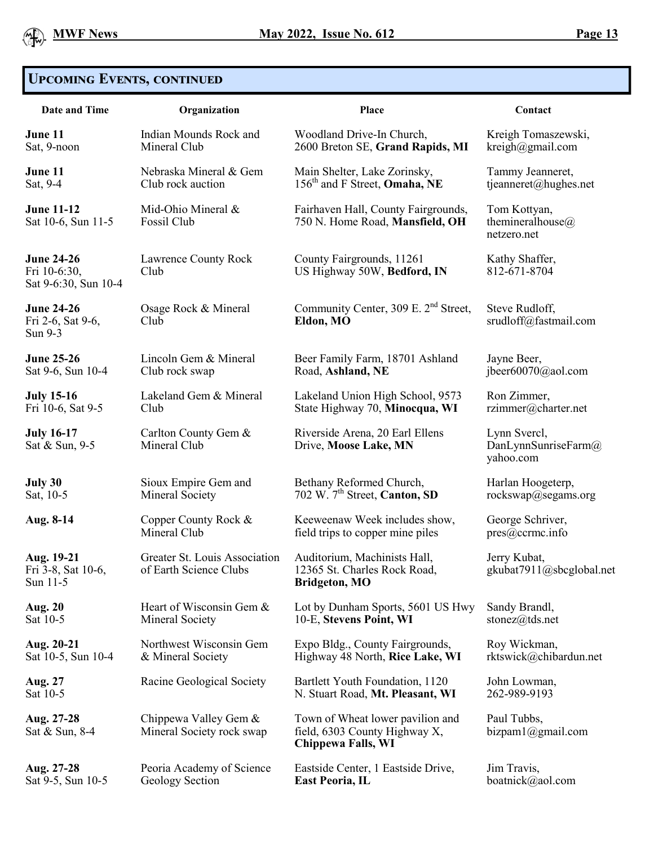# **Upcoming Events, continued**

| <b>Date and Time</b>                                      | Organization                                            | Place                                                                                   | Contact                                          |
|-----------------------------------------------------------|---------------------------------------------------------|-----------------------------------------------------------------------------------------|--------------------------------------------------|
| June 11                                                   | Indian Mounds Rock and                                  | Woodland Drive-In Church,                                                               | Kreigh Tomaszewski,                              |
| Sat, 9-noon                                               | Mineral Club                                            | 2600 Breton SE, Grand Rapids, MI                                                        | kreigh@gmail.com                                 |
| June 11                                                   | Nebraska Mineral & Gem                                  | Main Shelter, Lake Zorinsky,                                                            | Tammy Jeanneret,                                 |
| Sat, 9-4                                                  | Club rock auction                                       | 156 <sup>th</sup> and F Street, <b>Omaha</b> , NE                                       | tjeanneret@hughes.net                            |
| <b>June 11-12</b><br>Sat 10-6, Sun 11-5                   | Mid-Ohio Mineral &<br>Fossil Club                       | Fairhaven Hall, County Fairgrounds,<br>750 N. Home Road, Mansfield, OH                  | Tom Kottyan,<br>themineralhouse@<br>netzero.net  |
| <b>June 24-26</b><br>Fri 10-6:30,<br>Sat 9-6:30, Sun 10-4 | Lawrence County Rock<br>Club                            | County Fairgrounds, 11261<br>US Highway 50W, Bedford, IN                                | Kathy Shaffer,<br>812-671-8704                   |
| <b>June 24-26</b><br>Fri 2-6, Sat 9-6,<br>Sun 9-3         | Osage Rock & Mineral<br>Club                            | Community Center, 309 E. 2 <sup>nd</sup> Street,<br>Eldon, MO                           | Steve Rudloff,<br>srudloff@fastmail.com          |
| <b>June 25-26</b>                                         | Lincoln Gem & Mineral                                   | Beer Family Farm, 18701 Ashland                                                         | Jayne Beer,                                      |
| Sat 9-6, Sun 10-4                                         | Club rock swap                                          | Road, Ashland, NE                                                                       | jbeer60070@aol.com                               |
| <b>July 15-16</b>                                         | Lakeland Gem & Mineral                                  | Lakeland Union High School, 9573                                                        | Ron Zimmer,                                      |
| Fri 10-6, Sat 9-5                                         | Club                                                    | State Highway 70, Minocqua, WI                                                          | rzimmer@charter.net                              |
| <b>July 16-17</b><br>Sat & Sun, 9-5                       | Carlton County Gem &<br>Mineral Club                    | Riverside Arena, 20 Earl Ellens<br>Drive, Moose Lake, MN                                | Lynn Svercl,<br>DanLynnSunriseFarm@<br>yahoo.com |
| July 30                                                   | Sioux Empire Gem and                                    | Bethany Reformed Church,                                                                | Harlan Hoogeterp,                                |
| Sat, 10-5                                                 | Mineral Society                                         | 702 W. 7 <sup>th</sup> Street, Canton, SD                                               | rockswap@segams.org                              |
| Aug. 8-14                                                 | Copper County Rock &                                    | Keeweenaw Week includes show,                                                           | George Schriver,                                 |
|                                                           | Mineral Club                                            | field trips to copper mine piles                                                        | pres@ccrmc.info                                  |
| Aug. 19-21<br>Fri 3-8, Sat 10-6,<br>Sun 11-5              | Greater St. Louis Association<br>of Earth Science Clubs | Auditorium, Machinists Hall,<br>12365 St. Charles Rock Road,<br><b>Bridgeton, MO</b>    | Jerry Kubat,<br>gkubat7911@sbcglobal.net         |
| <b>Aug. 20</b>                                            | Heart of Wisconsin Gem &                                | Lot by Dunham Sports, 5601 US Hwy                                                       | Sandy Brandl,                                    |
| Sat 10-5                                                  | Mineral Society                                         | 10-E, Stevens Point, WI                                                                 | stonez@tds.net                                   |
| Aug. 20-21                                                | Northwest Wisconsin Gem                                 | Expo Bldg., County Fairgrounds,                                                         | Roy Wickman,                                     |
| Sat 10-5, Sun 10-4                                        | & Mineral Society                                       | Highway 48 North, Rice Lake, WI                                                         | rktswick@chibardun.net                           |
| <b>Aug. 27</b>                                            | Racine Geological Society                               | Bartlett Youth Foundation, 1120                                                         | John Lowman,                                     |
| Sat 10-5                                                  |                                                         | N. Stuart Road, Mt. Pleasant, WI                                                        | 262-989-9193                                     |
| Aug. 27-28<br>Sat & Sun, 8-4                              | Chippewa Valley Gem &<br>Mineral Society rock swap      | Town of Wheat lower pavilion and<br>field, 6303 County Highway X,<br>Chippewa Falls, WI | Paul Tubbs,<br>bizpam1@gmail.com                 |
| Aug. 27-28                                                | Peoria Academy of Science                               | Eastside Center, 1 Eastside Drive,                                                      | Jim Travis,                                      |
| Sat 9-5, Sun 10-5                                         | Geology Section                                         | <b>East Peoria, IL</b>                                                                  | boatnick@aol.com                                 |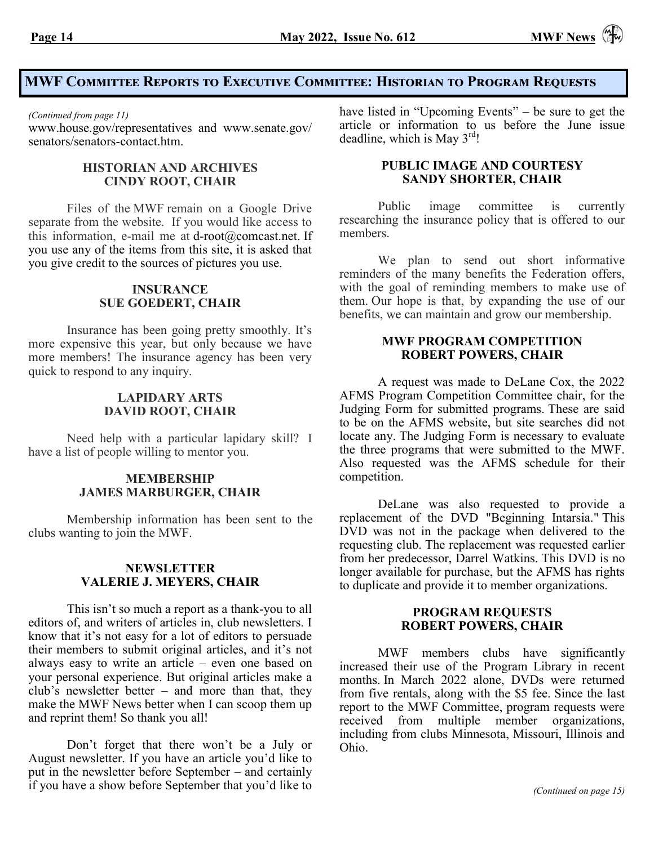# **MWF Committee Reports to Executive Committee: Historian to Program Requests**

*(Continued from page 11)*

[www.house.gov/representatives](http://www.house.gov/representatives) and [www.senate.gov/](http://www.senate.gov/senators/senators-contact.htm) [senators/senators](http://www.senate.gov/senators/senators-contact.htm)-contact.htm.

#### **HISTORIAN AND ARCHIVES CINDY ROOT, CHAIR**

Files of the MWF remain on a Google Drive separate from the website. If you would like access to this information, e-mail me at d-root $@$ comcast.net. If [you use any of the items from this site, it is asked that](mailto:d-root@comcast.net. If%20you%20use%20any%20of%20the%20items%20from%20this%20site,%20it%20is%20asked%20that%20you%20give%20credit%20to%20the%20sources%20of%20pictures%20you%20use.)  [you give credit to the sources of pictures you use.](mailto:d-root@comcast.net. If%20you%20use%20any%20of%20the%20items%20from%20this%20site,%20it%20is%20asked%20that%20you%20give%20credit%20to%20the%20sources%20of%20pictures%20you%20use.)

#### **INSURANCE SUE GOEDERT, CHAIR**

Insurance has been going pretty smoothly. It's more expensive this year, but only because we have more members! The insurance agency has been very quick to respond to any inquiry.

#### **LAPIDARY ARTS DAVID ROOT, CHAIR**

Need help with a particular lapidary skill? I have a list of people willing to mentor you.

#### **MEMBERSHIP JAMES MARBURGER, CHAIR**

Membership information has been sent to the clubs wanting to join the MWF.

#### **NEWSLETTER VALERIE J. MEYERS, CHAIR**

This isn't so much a report as a thank-you to all editors of, and writers of articles in, club newsletters. I know that it's not easy for a lot of editors to persuade their members to submit original articles, and it's not always easy to write an article – even one based on your personal experience. But original articles make a club's newsletter better – and more than that, they make the MWF News better when I can scoop them up and reprint them! So thank you all!

Don't forget that there won't be a July or August newsletter. If you have an article you'd like to put in the newsletter before September – and certainly if you have a show before September that you'd like to have listed in "Upcoming Events" – be sure to get the article or information to us before the June issue deadline, which is May  $3<sup>rd</sup>!$ 

#### **PUBLIC IMAGE AND COURTESY SANDY SHORTER, CHAIR**

Public image committee is currently researching the insurance policy that is offered to our members.

We plan to send out short informative reminders of the many benefits the Federation offers, with the goal of reminding members to make use of them. Our hope is that, by expanding the use of our benefits, we can maintain and grow our membership.

#### **MWF PROGRAM COMPETITION ROBERT POWERS, CHAIR**

A request was made to DeLane Cox, the 2022 AFMS Program Competition Committee chair, for the Judging Form for submitted programs. These are said to be on the AFMS website, but site searches did not locate any. The Judging Form is necessary to evaluate the three programs that were submitted to the MWF. Also requested was the AFMS schedule for their competition.

DeLane was also requested to provide a replacement of the DVD "Beginning Intarsia." This DVD was not in the package when delivered to the requesting club. The replacement was requested earlier from her predecessor, Darrel Watkins. This DVD is no longer available for purchase, but the AFMS has rights to duplicate and provide it to member organizations.

#### **PROGRAM REQUESTS ROBERT POWERS, CHAIR**

MWF members clubs have significantly increased their use of the Program Library in recent months. In March 2022 alone, DVDs were returned from five rentals, along with the \$5 fee. Since the last report to the MWF Committee, program requests were received from multiple member organizations, including from clubs Minnesota, Missouri, Illinois and Ohio.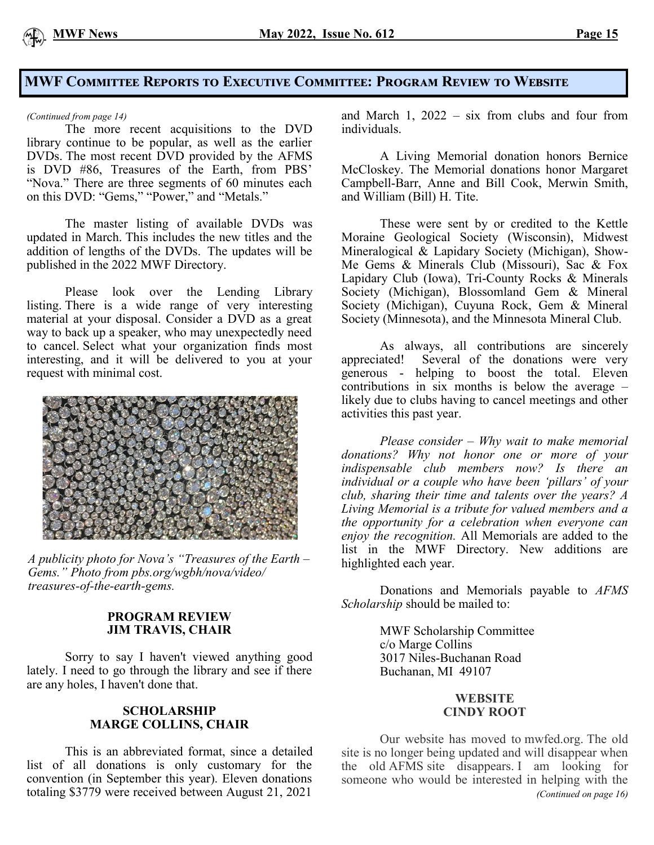#### **MWF Committee Reports to Executive Committee: Program Review to Website**

*(Continued from page 14)*

The more recent acquisitions to the DVD library continue to be popular, as well as the earlier DVDs. The most recent DVD provided by the AFMS is DVD #86, Treasures of the Earth, from PBS' "Nova." There are three segments of 60 minutes each on this DVD: "Gems," "Power," and "Metals."

The master listing of available DVDs was updated in March. This includes the new titles and the addition of lengths of the DVDs. The updates will be published in the 2022 MWF Directory.

Please look over the Lending Library listing. There is a wide range of very interesting material at your disposal. Consider a DVD as a great way to back up a speaker, who may unexpectedly need to cancel. Select what your organization finds most interesting, and it will be delivered to you at your request with minimal cost.



*A publicity photo for Nova's "Treasures of the Earth – Gems." Photo from pbs.org/wgbh/nova/video/ treasures-of-the-earth-gems.*

#### **PROGRAM REVIEW JIM TRAVIS, CHAIR**

Sorry to say I haven't viewed anything good lately. I need to go through the library and see if there are any holes, I haven't done that.

#### **SCHOLARSHIP MARGE COLLINS, CHAIR**

This is an abbreviated format, since a detailed list of all donations is only customary for the convention (in September this year). Eleven donations totaling \$3779 were received between August 21, 2021

and March 1, 2022 – six from clubs and four from individuals.

A Living Memorial donation honors Bernice McCloskey. The Memorial donations honor Margaret Campbell-Barr, Anne and Bill Cook, Merwin Smith, and William (Bill) H. Tite.

These were sent by or credited to the Kettle Moraine Geological Society (Wisconsin), Midwest Mineralogical & Lapidary Society (Michigan), Show-Me Gems & Minerals Club (Missouri), Sac & Fox Lapidary Club (Iowa), Tri-County Rocks & Minerals Society (Michigan), Blossomland Gem & Mineral Society (Michigan), Cuyuna Rock, Gem & Mineral Society (Minnesota), and the Minnesota Mineral Club.

As always, all contributions are sincerely appreciated! Several of the donations were very generous - helping to boost the total. Eleven contributions in  $\overline{\text{six}}$  months is below the average – likely due to clubs having to cancel meetings and other activities this past year.

*Please consider – Why wait to make memorial donations? Why not honor one or more of your indispensable club members now? Is there an individual or a couple who have been 'pillars' of your club, sharing their time and talents over the years? A Living Memorial is a tribute for valued members and a the opportunity for a celebration when everyone can enjoy the recognition.* All Memorials are added to the list in the MWF Directory. New additions are highlighted each year.

Donations and Memorials payable to *AFMS Scholarship* should be mailed to:

> MWF Scholarship Committee c/o Marge Collins 3017 Niles-Buchanan Road Buchanan, MI 49107

#### **WEBSITE CINDY ROOT**

Our website has moved to mwfed.org. The old site is no longer being updated and will disappear when the old AFMS site disappears. I am looking for someone who would be interested in helping with the *(Continued on page 16)*